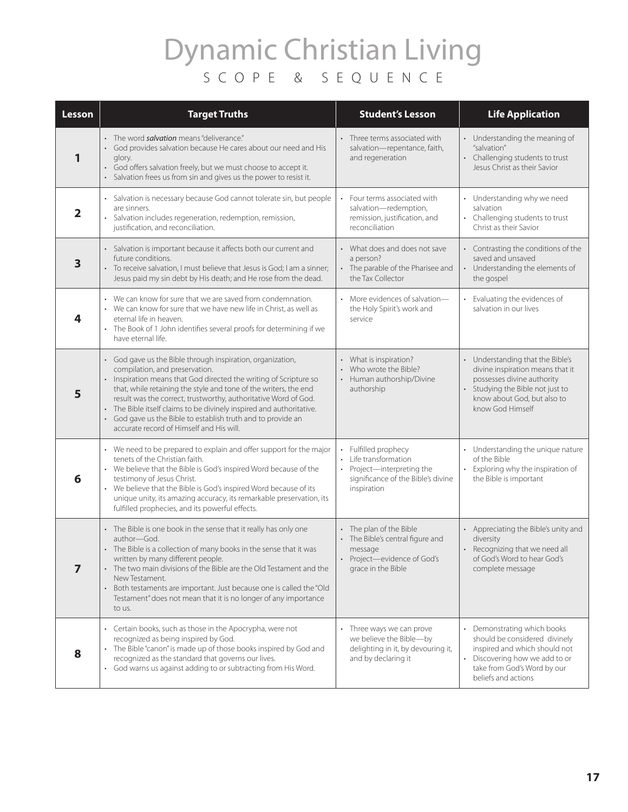## Dynamic Christian Living SCOPE & SEQUENCE

| Lesson         | <b>Target Truths</b>                                                                                                                                                                                                                                                                                                                                                                                                                                                                 | <b>Student's Lesson</b>                                                                                                          | <b>Life Application</b>                                                                                                                                                               |
|----------------|--------------------------------------------------------------------------------------------------------------------------------------------------------------------------------------------------------------------------------------------------------------------------------------------------------------------------------------------------------------------------------------------------------------------------------------------------------------------------------------|----------------------------------------------------------------------------------------------------------------------------------|---------------------------------------------------------------------------------------------------------------------------------------------------------------------------------------|
| 1              | • The word <i>salvation</i> means "deliverance."<br>• God provides salvation because He cares about our need and His<br>glory.<br>God offers salvation freely, but we must choose to accept it.<br>Salvation frees us from sin and gives us the power to resist it.                                                                                                                                                                                                                  | Three terms associated with<br>salvation-repentance, faith,<br>and regeneration                                                  | Understanding the meaning of<br>"salvation"<br>Challenging students to trust<br>Jesus Christ as their Savior                                                                          |
| 2              | Salvation is necessary because God cannot tolerate sin, but people<br>are sinners.<br>Salvation includes regeneration, redemption, remission,<br>justification, and reconciliation.                                                                                                                                                                                                                                                                                                  | Four terms associated with<br>salvation-redemption,<br>remission, justification, and<br>reconciliation                           | Understanding why we need<br>salvation<br>Challenging students to trust<br>Christ as their Savior                                                                                     |
| 3              | Salvation is important because it affects both our current and<br>future conditions.<br>To receive salvation, I must believe that Jesus is God; I am a sinner;<br>Jesus paid my sin debt by His death; and He rose from the dead.                                                                                                                                                                                                                                                    | What does and does not save<br>a person?<br>• The parable of the Pharisee and<br>the Tax Collector                               | Contrasting the conditions of the<br>saved and unsaved<br>Understanding the elements of<br>the gospel                                                                                 |
| 4              | • We can know for sure that we are saved from condemnation.<br>• We can know for sure that we have new life in Christ, as well as<br>eternal life in heaven.<br>The Book of 1 John identifies several proofs for determining if we<br>have eternal life.                                                                                                                                                                                                                             | • More evidences of salvation-<br>the Holy Spirit's work and<br>service                                                          | Evaluating the evidences of<br>salvation in our lives                                                                                                                                 |
| 5              | God gave us the Bible through inspiration, organization,<br>compilation, and preservation.<br>Inspiration means that God directed the writing of Scripture so<br>that, while retaining the style and tone of the writers, the end<br>result was the correct, trustworthy, authoritative Word of God.<br>The Bible itself claims to be divinely inspired and authoritative.<br>God gave us the Bible to establish truth and to provide an<br>accurate record of Himself and His will. | • What is inspiration?<br>• Who wrote the Bible?<br>• Human authorship/Divine<br>authorship                                      | Understanding that the Bible's<br>divine inspiration means that it<br>possesses divine authority<br>Studying the Bible not just to<br>know about God, but also to<br>know God Himself |
| 6              | • We need to be prepared to explain and offer support for the major<br>tenets of the Christian faith.<br>• We believe that the Bible is God's inspired Word because of the<br>testimony of Jesus Christ.<br>We believe that the Bible is God's inspired Word because of its<br>unique unity, its amazing accuracy, its remarkable preservation, its<br>fulfilled prophecies, and its powerful effects.                                                                               | • Fulfilled prophecy<br>• Life transformation<br>• Project-interpreting the<br>significance of the Bible's divine<br>inspiration | Understanding the unique nature<br>of the Bible<br>Exploring why the inspiration of<br>the Bible is important                                                                         |
| $\overline{7}$ | • The Bible is one book in the sense that it really has only one<br>author-God.<br>The Bible is a collection of many books in the sense that it was<br>written by many different people.<br>The two main divisions of the Bible are the Old Testament and the<br>New Testament.<br>Both testaments are important. Just because one is called the "Old<br>Testament" does not mean that it is no longer of any importance<br>to us.                                                   | • The plan of the Bible<br>• The Bible's central figure and<br>message<br>Project-evidence of God's<br>grace in the Bible        | Appreciating the Bible's unity and<br>diversity<br>Recognizing that we need all<br>of God's Word to hear God's<br>complete message                                                    |
| 8              | Certain books, such as those in the Apocrypha, were not<br>recognized as being inspired by God.<br>The Bible "canon" is made up of those books inspired by God and<br>recognized as the standard that governs our lives.<br>• God warns us against adding to or subtracting from His Word.                                                                                                                                                                                           | Three ways we can prove<br>we believe the Bible-by<br>delighting in it, by devouring it,<br>and by declaring it                  | Demonstrating which books<br>should be considered divinely<br>inspired and which should not<br>Discovering how we add to or<br>take from God's Word by our<br>beliefs and actions     |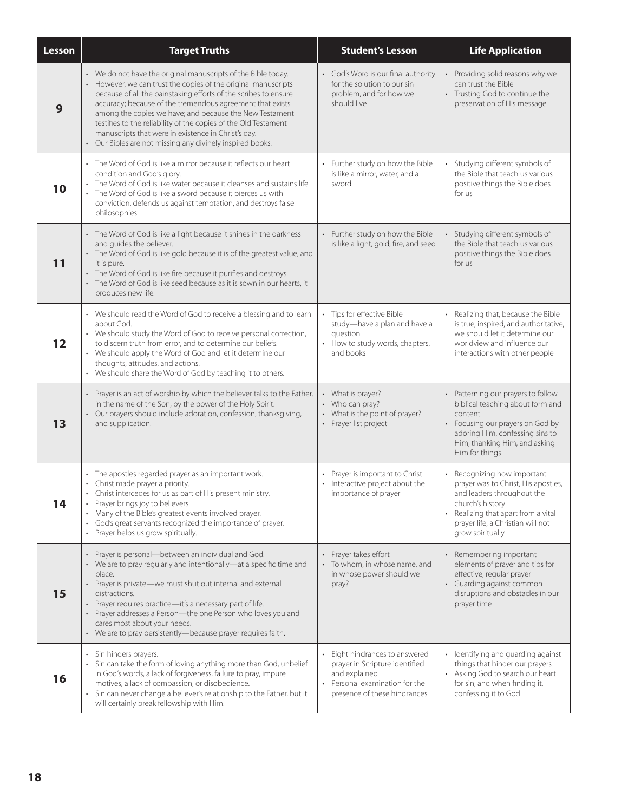| Lesson | <b>Target Truths</b>                                                                                                                                                                                                                                                                                                                                                                                                                                                                                          | <b>Student's Lesson</b>                                                                                                                         | <b>Life Application</b>                                                                                                                                                                                          |
|--------|---------------------------------------------------------------------------------------------------------------------------------------------------------------------------------------------------------------------------------------------------------------------------------------------------------------------------------------------------------------------------------------------------------------------------------------------------------------------------------------------------------------|-------------------------------------------------------------------------------------------------------------------------------------------------|------------------------------------------------------------------------------------------------------------------------------------------------------------------------------------------------------------------|
| 9      | • We do not have the original manuscripts of the Bible today.<br>However, we can trust the copies of the original manuscripts<br>because of all the painstaking efforts of the scribes to ensure<br>accuracy; because of the tremendous agreement that exists<br>among the copies we have; and because the New Testament<br>testifies to the reliability of the copies of the Old Testament<br>manuscripts that were in existence in Christ's day.<br>Our Bibles are not missing any divinely inspired books. | • God's Word is our final authority<br>for the solution to our sin<br>problem, and for how we<br>should live                                    | Providing solid reasons why we<br>can trust the Bible<br>• Trusting God to continue the<br>preservation of His message                                                                                           |
| 10     | • The Word of God is like a mirror because it reflects our heart<br>condition and God's glory.<br>The Word of God is like water because it cleanses and sustains life.<br>The Word of God is like a sword because it pierces us with<br>conviction, defends us against temptation, and destroys false<br>philosophies.                                                                                                                                                                                        | Further study on how the Bible<br>is like a mirror, water, and a<br>sword                                                                       | Studying different symbols of<br>the Bible that teach us various<br>positive things the Bible does<br>for us                                                                                                     |
| 11     | • The Word of God is like a light because it shines in the darkness<br>and guides the believer.<br>• The Word of God is like gold because it is of the greatest value, and<br>it is pure.<br>The Word of God is like fire because it purifies and destroys.<br>The Word of God is like seed because as it is sown in our hearts, it<br>produces new life.                                                                                                                                                     | • Further study on how the Bible<br>is like a light, gold, fire, and seed                                                                       | Studying different symbols of<br>the Bible that teach us various<br>positive things the Bible does<br>for us                                                                                                     |
| 12     | • We should read the Word of God to receive a blessing and to learn<br>about God.<br>• We should study the Word of God to receive personal correction,<br>to discern truth from error, and to determine our beliefs.<br>• We should apply the Word of God and let it determine our<br>thoughts, attitudes, and actions.<br>• We should share the Word of God by teaching it to others.                                                                                                                        | Tips for effective Bible<br>$\bullet$<br>study-have a plan and have a<br>question<br>How to study words, chapters,<br>and books                 | Realizing that, because the Bible<br>is true, inspired, and authoritative,<br>we should let it determine our<br>worldview and influence our<br>interactions with other people                                    |
| 13     | • Prayer is an act of worship by which the believer talks to the Father,<br>in the name of the Son, by the power of the Holy Spirit.<br>• Our prayers should include adoration, confession, thanksgiving,<br>and supplication.                                                                                                                                                                                                                                                                                | • What is prayer?<br>• Who can pray?<br>• What is the point of prayer?<br>• Prayer list project                                                 | • Patterning our prayers to follow<br>biblical teaching about form and<br>content<br>Focusing our prayers on God by<br>adoring Him, confessing sins to<br>Him, thanking Him, and asking<br>Him for things        |
| 14     | • The apostles regarded prayer as an important work.<br>• Christ made prayer a priority.<br>• Christ intercedes for us as part of His present ministry.<br>Prayer brings joy to believers.<br>Many of the Bible's greatest events involved prayer.<br>God's great servants recognized the importance of prayer.<br>$\bullet$<br>Prayer helps us grow spiritually.<br>$\bullet$                                                                                                                                | Prayer is important to Christ<br>Interactive project about the<br>$\bullet$<br>importance of prayer                                             | Recognizing how important<br>prayer was to Christ, His apostles,<br>and leaders throughout the<br>church's history<br>Realizing that apart from a vital<br>prayer life, a Christian will not<br>grow spiritually |
| 15     | Prayer is personal-between an individual and God.<br>We are to pray regularly and intentionally-at a specific time and<br>place.<br>• Prayer is private-we must shut out internal and external<br>distractions.<br>Prayer requires practice-it's a necessary part of life.<br>$\bullet$<br>Prayer addresses a Person-the one Person who loves you and<br>cares most about your needs.<br>• We are to pray persistently-because prayer requires faith.                                                         | • Prayer takes effort<br>To whom, in whose name, and<br>in whose power should we<br>pray?                                                       | Remembering important<br>elements of prayer and tips for<br>effective, regular prayer<br>• Guarding against common<br>disruptions and obstacles in our<br>prayer time                                            |
| 16     | • Sin hinders prayers.<br>• Sin can take the form of loving anything more than God, unbelief<br>in God's words, a lack of forgiveness, failure to pray, impure<br>motives, a lack of compassion, or disobedience.<br>Sin can never change a believer's relationship to the Father, but it<br>$\bullet$<br>will certainly break fellowship with Him.                                                                                                                                                           | Eight hindrances to answered<br>prayer in Scripture identified<br>and explained<br>Personal examination for the<br>presence of these hindrances | • Identifying and guarding against<br>things that hinder our prayers<br>Asking God to search our heart<br>for sin, and when finding it,<br>confessing it to God                                                  |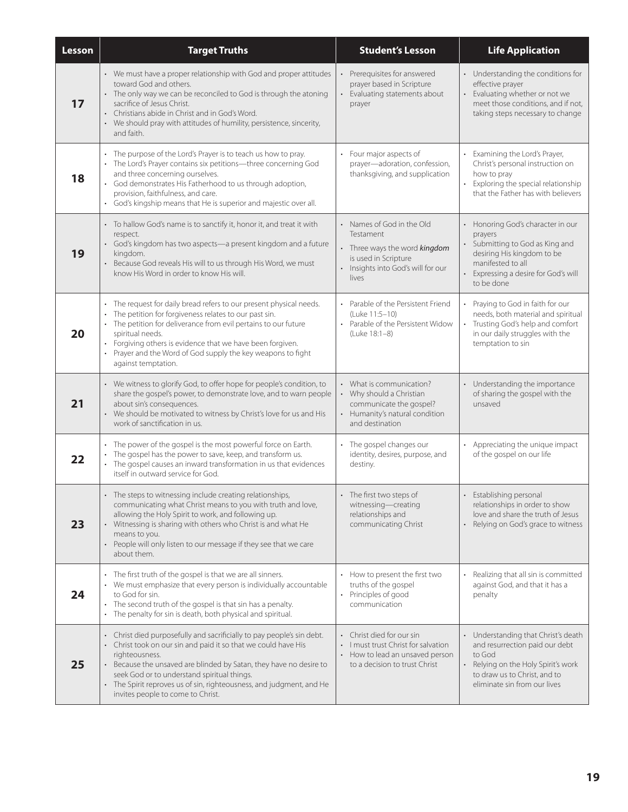| Lesson | <b>Target Truths</b>                                                                                                                                                                                                                                                                                                                                                                         | <b>Student's Lesson</b>                                                                                                                    | <b>Life Application</b>                                                                                                                                                                         |
|--------|----------------------------------------------------------------------------------------------------------------------------------------------------------------------------------------------------------------------------------------------------------------------------------------------------------------------------------------------------------------------------------------------|--------------------------------------------------------------------------------------------------------------------------------------------|-------------------------------------------------------------------------------------------------------------------------------------------------------------------------------------------------|
| 17     | • We must have a proper relationship with God and proper attitudes<br>toward God and others.<br>• The only way we can be reconciled to God is through the atoning<br>sacrifice of Jesus Christ.<br>Christians abide in Christ and in God's Word.<br>• We should pray with attitudes of humility, persistence, sincerity,<br>and faith.                                                       | Prerequisites for answered<br>prayer based in Scripture<br>Evaluating statements about<br>prayer                                           | Understanding the conditions for<br>effective prayer<br>Evaluating whether or not we<br>meet those conditions, and if not,<br>taking steps necessary to change                                  |
| 18     | The purpose of the Lord's Prayer is to teach us how to pray.<br>The Lord's Prayer contains six petitions-three concerning God<br>and three concerning ourselves.<br>God demonstrates His Fatherhood to us through adoption,<br>provision, faithfulness, and care.<br>· God's kingship means that He is superior and majestic over all.                                                       | Four major aspects of<br>prayer-adoration, confession,<br>thanksgiving, and supplication                                                   | Examining the Lord's Prayer,<br>Christ's personal instruction on<br>how to pray<br>Exploring the special relationship<br>that the Father has with believers                                     |
| 19     | • To hallow God's name is to sanctify it, honor it, and treat it with<br>respect.<br>God's kingdom has two aspects-a present kingdom and a future<br>kingdom.<br>Because God reveals His will to us through His Word, we must<br>know His Word in order to know His will.                                                                                                                    | • Names of God in the Old<br>Testament<br>Three ways the word kingdom<br>is used in Scripture<br>Insights into God's will for our<br>lives | Honoring God's character in our<br>prayers<br>Submitting to God as King and<br>desiring His kingdom to be<br>manifested to all<br>Expressing a desire for God's will<br>to be done              |
| 20     | • The request for daily bread refers to our present physical needs.<br>The petition for forgiveness relates to our past sin.<br>The petition for deliverance from evil pertains to our future<br>$\bullet$<br>spiritual needs.<br>Forgiving others is evidence that we have been forgiven.<br>Prayer and the Word of God supply the key weapons to fight<br>$\bullet$<br>against temptation. | Parable of the Persistent Friend<br>(Luke 11:5-10)<br>Parable of the Persistent Widow<br>$\bullet$<br>(Luke 18:1-8)                        | Praying to God in faith for our<br>needs, both material and spiritual<br>Trusting God's help and comfort<br>in our daily struggles with the<br>temptation to sin                                |
| 21     | • We witness to glorify God, to offer hope for people's condition, to<br>share the gospel's power, to demonstrate love, and to warn people<br>about sin's consequences.<br>We should be motivated to witness by Christ's love for us and His<br>work of sanctification in us.                                                                                                                | • What is communication?<br>• Why should a Christian<br>communicate the gospel?<br>Humanity's natural condition<br>and destination         | Understanding the importance<br>of sharing the gospel with the<br>unsaved                                                                                                                       |
| 22     | The power of the gospel is the most powerful force on Earth.<br>$\bullet$<br>The gospel has the power to save, keep, and transform us.<br>The gospel causes an inward transformation in us that evidences<br>$\bullet$<br>itself in outward service for God.                                                                                                                                 | The gospel changes our<br>identity, desires, purpose, and<br>destiny.                                                                      | Appreciating the unique impact<br>of the gospel on our life                                                                                                                                     |
| 23     | The steps to witnessing include creating relationships,<br>communicating what Christ means to you with truth and love,<br>allowing the Holy Spirit to work, and following up.<br>• Witnessing is sharing with others who Christ is and what He<br>means to you.<br>People will only listen to our message if they see that we care<br>about them.                                            | The first two steps of<br>witnessing-creating<br>relationships and<br>communicating Christ                                                 | Establishing personal<br>relationships in order to show<br>love and share the truth of Jesus<br>Relying on God's grace to witness                                                               |
| 24     | • The first truth of the gospel is that we are all sinners.<br>• We must emphasize that every person is individually accountable<br>to God for sin.<br>The second truth of the gospel is that sin has a penalty.<br>$\bullet$<br>The penalty for sin is death, both physical and spiritual.<br>۰                                                                                             | How to present the first two<br>truths of the gospel<br>Principles of good<br>$\bullet$<br>communication                                   | Realizing that all sin is committed<br>against God, and that it has a<br>penalty                                                                                                                |
| 25     | • Christ died purposefully and sacrificially to pay people's sin debt.<br>Christ took on our sin and paid it so that we could have His<br>righteousness.<br>Because the unsaved are blinded by Satan, they have no desire to<br>seek God or to understand spiritual things.<br>• The Spirit reproves us of sin, righteousness, and judgment, and He<br>invites people to come to Christ.     | • Christ died for our sin<br>I must trust Christ for salvation<br>• How to lead an unsaved person<br>to a decision to trust Christ         | Understanding that Christ's death<br>and resurrection paid our debt<br>to God<br>Relying on the Holy Spirit's work<br>$\bullet$<br>to draw us to Christ, and to<br>eliminate sin from our lives |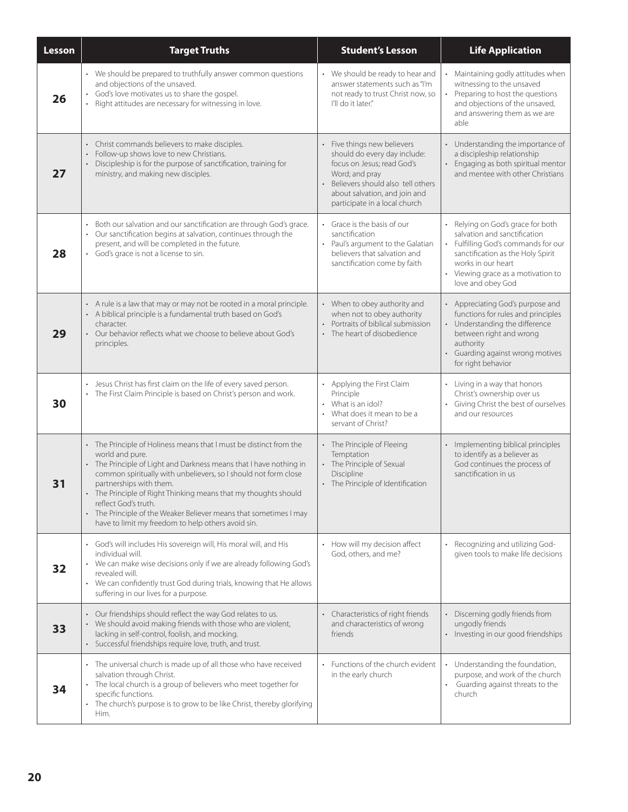| Lesson | <b>Target Truths</b>                                                                                                                                                                                                                                                                                                                                                                                                                                                                              | <b>Student's Lesson</b>                                                                                                                                                                                          | <b>Life Application</b>                                                                                                                                                                                                  |
|--------|---------------------------------------------------------------------------------------------------------------------------------------------------------------------------------------------------------------------------------------------------------------------------------------------------------------------------------------------------------------------------------------------------------------------------------------------------------------------------------------------------|------------------------------------------------------------------------------------------------------------------------------------------------------------------------------------------------------------------|--------------------------------------------------------------------------------------------------------------------------------------------------------------------------------------------------------------------------|
| 26     | • We should be prepared to truthfully answer common questions<br>and objections of the unsaved.<br>God's love motivates us to share the gospel.<br>$\bullet$<br>Right attitudes are necessary for witnessing in love.                                                                                                                                                                                                                                                                             | • We should be ready to hear and<br>answer statements such as "I'm<br>not ready to trust Christ now, so<br>I'll do it later."                                                                                    | Maintaining godly attitudes when<br>witnessing to the unsaved<br>Preparing to host the questions<br>and objections of the unsaved,<br>and answering them as we are<br>able                                               |
| 27     | Christ commands believers to make disciples.<br>Follow-up shows love to new Christians.<br>$\ddot{\phantom{0}}$<br>Discipleship is for the purpose of sanctification, training for<br>ministry, and making new disciples.                                                                                                                                                                                                                                                                         | Five things new believers<br>should do every day include:<br>focus on Jesus; read God's<br>Word; and pray<br>Believers should also tell others<br>about salvation, and join and<br>participate in a local church | Understanding the importance of<br>a discipleship relationship<br>Engaging as both spiritual mentor<br>and mentee with other Christians                                                                                  |
| 28     | Both our salvation and our sanctification are through God's grace.<br>Our sanctification begins at salvation, continues through the<br>$\bullet$<br>present, and will be completed in the future.<br>God's grace is not a license to sin.<br>$\bullet$                                                                                                                                                                                                                                            | Grace is the basis of our<br>$\bullet$<br>sanctification<br>Paul's argument to the Galatian<br>believers that salvation and<br>sanctification come by faith                                                      | Relying on God's grace for both<br>salvation and sanctification<br>Fulfilling God's commands for our<br>sanctification as the Holy Spirit<br>works in our heart<br>Viewing grace as a motivation to<br>love and obey God |
| 29     | • A rule is a law that may or may not be rooted in a moral principle.<br>• A biblical principle is a fundamental truth based on God's<br>character.<br>Our behavior reflects what we choose to believe about God's<br>principles.                                                                                                                                                                                                                                                                 | • When to obey authority and<br>when not to obey authority<br>Portraits of biblical submission<br>• The heart of disobedience                                                                                    | Appreciating God's purpose and<br>functions for rules and principles<br>Understanding the difference<br>between right and wrong<br>authority<br>Guarding against wrong motives<br>for right behavior                     |
| 30     | Jesus Christ has first claim on the life of every saved person.<br>$\ddot{\phantom{0}}$<br>The First Claim Principle is based on Christ's person and work.                                                                                                                                                                                                                                                                                                                                        | • Applying the First Claim<br>Principle<br>What is an idol?<br>• What does it mean to be a<br>servant of Christ?                                                                                                 | Living in a way that honors<br>Christ's ownership over us<br>Giving Christ the best of ourselves<br>and our resources                                                                                                    |
| 31     | • The Principle of Holiness means that I must be distinct from the<br>world and pure.<br>The Principle of Light and Darkness means that I have nothing in<br>$\ddot{\phantom{0}}$<br>common spiritually with unbelievers, so I should not form close<br>partnerships with them.<br>The Principle of Right Thinking means that my thoughts should<br>reflect God's truth.<br>The Principle of the Weaker Believer means that sometimes I may<br>have to limit my freedom to help others avoid sin. | • The Principle of Fleeing<br>Temptation<br>• The Principle of Sexual<br>Discipline<br>• The Principle of Identification                                                                                         | Implementing biblical principles<br>to identify as a believer as<br>God continues the process of<br>sanctification in us                                                                                                 |
| 32     | God's will includes His sovereign will, His moral will, and His<br>$\bullet$<br>individual will.<br>We can make wise decisions only if we are already following God's<br>revealed will.<br>• We can confidently trust God during trials, knowing that He allows<br>suffering in our lives for a purpose.                                                                                                                                                                                          | • How will my decision affect<br>God, others, and me?                                                                                                                                                            | Recognizing and utilizing God-<br>given tools to make life decisions                                                                                                                                                     |
| 33     | Our friendships should reflect the way God relates to us.<br>We should avoid making friends with those who are violent,<br>lacking in self-control, foolish, and mocking.<br>Successful friendships require love, truth, and trust.                                                                                                                                                                                                                                                               | • Characteristics of right friends<br>and characteristics of wrong<br>friends                                                                                                                                    | Discerning godly friends from<br>ungodly friends<br>Investing in our good friendships                                                                                                                                    |
| 34     | • The universal church is made up of all those who have received<br>salvation through Christ.<br>The local church is a group of believers who meet together for<br>specific functions.<br>The church's purpose is to grow to be like Christ, thereby glorifying<br>$\bullet$<br>Him.                                                                                                                                                                                                              | • Functions of the church evident<br>in the early church                                                                                                                                                         | Understanding the foundation,<br>purpose, and work of the church<br>• Guarding against threats to the<br>church                                                                                                          |